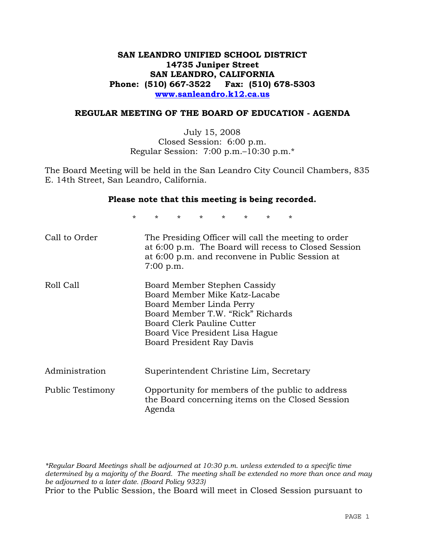## **SAN LEANDRO UNIFIED SCHOOL DISTRICT 14735 Juniper Street SAN LEANDRO, CALIFORNIA Phone: (510) 667-3522 Fax: (510) 678-5303 www.sanleandro.k12.ca.us**

#### **REGULAR MEETING OF THE BOARD OF EDUCATION - AGENDA**

July 15, 2008 Closed Session: 6:00 p.m. Regular Session: 7:00 p.m.–10:30 p.m.\*

The Board Meeting will be held in the San Leandro City Council Chambers, 835 E. 14th Street, San Leandro, California.

#### **Please note that this meeting is being recorded.**

\* \* \* \* \* \* \* \*

| Call to Order           | The Presiding Officer will call the meeting to order<br>at 6:00 p.m. The Board will recess to Closed Session<br>at 6:00 p.m. and reconvene in Public Session at<br>$7:00$ p.m.                                               |
|-------------------------|------------------------------------------------------------------------------------------------------------------------------------------------------------------------------------------------------------------------------|
| Roll Call               | Board Member Stephen Cassidy<br>Board Member Mike Katz-Lacabe<br>Board Member Linda Perry<br>Board Member T.W. "Rick" Richards<br>Board Clerk Pauline Cutter<br>Board Vice President Lisa Hague<br>Board President Ray Davis |
| Administration          | Superintendent Christine Lim, Secretary                                                                                                                                                                                      |
| <b>Public Testimony</b> | Opportunity for members of the public to address<br>the Board concerning items on the Closed Session<br>Agenda                                                                                                               |

*\*Regular Board Meetings shall be adjourned at 10:30 p.m. unless extended to a specific time determined by a majority of the Board. The meeting shall be extended no more than once and may be adjourned to a later date. (Board Policy 9323)*  Prior to the Public Session, the Board will meet in Closed Session pursuant to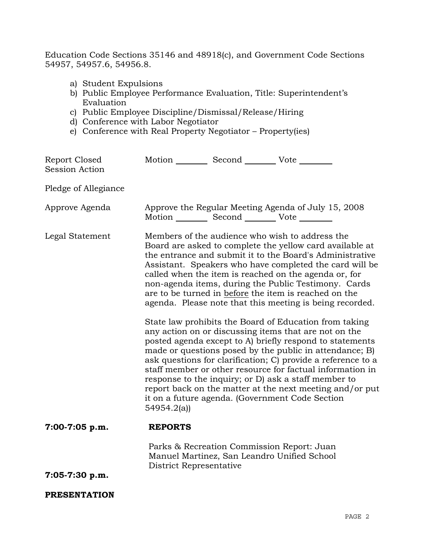Education Code Sections 35146 and 48918(c), and Government Code Sections 54957, 54957.6, 54956.8.

- a) Student Expulsions
- b) Public Employee Performance Evaluation, Title: Superintendent's Evaluation
- c) Public Employee Discipline/Dismissal/Release/Hiring
- d) Conference with Labor Negotiator
- e) Conference with Real Property Negotiator Property(ies)

| Report Closed<br><b>Session Action</b> | Motion __________ Second __________ Vote ________ |                                                                                           |                                                                                                                                                                                                                                                                                                                                                                                                                                                                                                                                                                                                                                                                                                                                                                                                                                                                                                                                                                                                                        |
|----------------------------------------|---------------------------------------------------|-------------------------------------------------------------------------------------------|------------------------------------------------------------------------------------------------------------------------------------------------------------------------------------------------------------------------------------------------------------------------------------------------------------------------------------------------------------------------------------------------------------------------------------------------------------------------------------------------------------------------------------------------------------------------------------------------------------------------------------------------------------------------------------------------------------------------------------------------------------------------------------------------------------------------------------------------------------------------------------------------------------------------------------------------------------------------------------------------------------------------|
| Pledge of Allegiance                   |                                                   |                                                                                           |                                                                                                                                                                                                                                                                                                                                                                                                                                                                                                                                                                                                                                                                                                                                                                                                                                                                                                                                                                                                                        |
| Approve Agenda                         | Motion __________ Second __________ Vote ________ |                                                                                           | Approve the Regular Meeting Agenda of July 15, 2008                                                                                                                                                                                                                                                                                                                                                                                                                                                                                                                                                                                                                                                                                                                                                                                                                                                                                                                                                                    |
| Legal Statement                        | 54954.2(a)                                        |                                                                                           | Members of the audience who wish to address the<br>Board are asked to complete the yellow card available at<br>the entrance and submit it to the Board's Administrative<br>Assistant. Speakers who have completed the card will be<br>called when the item is reached on the agenda or, for<br>non-agenda items, during the Public Testimony. Cards<br>are to be turned in before the item is reached on the<br>agenda. Please note that this meeting is being recorded.<br>State law prohibits the Board of Education from taking<br>any action on or discussing items that are not on the<br>posted agenda except to A) briefly respond to statements<br>made or questions posed by the public in attendance; B)<br>ask questions for clarification; C) provide a reference to a<br>staff member or other resource for factual information in<br>response to the inquiry; or D) ask a staff member to<br>report back on the matter at the next meeting and/or put<br>it on a future agenda. (Government Code Section |
| $7:00-7:05$ p.m.                       | <b>REPORTS</b>                                    |                                                                                           |                                                                                                                                                                                                                                                                                                                                                                                                                                                                                                                                                                                                                                                                                                                                                                                                                                                                                                                                                                                                                        |
| 7:05-7:30 p.m.                         | District Representative                           | Parks & Recreation Commission Report: Juan<br>Manuel Martinez, San Leandro Unified School |                                                                                                                                                                                                                                                                                                                                                                                                                                                                                                                                                                                                                                                                                                                                                                                                                                                                                                                                                                                                                        |
| <b>PRESENTATION</b>                    |                                                   |                                                                                           |                                                                                                                                                                                                                                                                                                                                                                                                                                                                                                                                                                                                                                                                                                                                                                                                                                                                                                                                                                                                                        |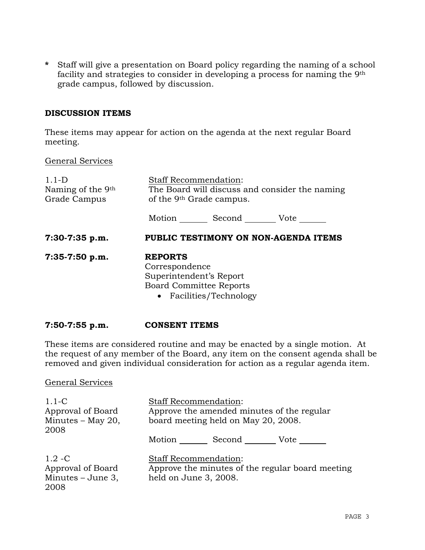**\*** Staff will give a presentation on Board policy regarding the naming of a school facility and strategies to consider in developing a process for naming the 9th grade campus, followed by discussion.

#### **DISCUSSION ITEMS**

These items may appear for action on the agenda at the next regular Board meeting.

### General Services

| $1.1-D$<br>Naming of the 9 <sup>th</sup><br>Grade Campus | <b>Staff Recommendation:</b><br>The Board will discuss and consider the naming<br>of the 9 <sup>th</sup> Grade campus.   |  |
|----------------------------------------------------------|--------------------------------------------------------------------------------------------------------------------------|--|
|                                                          | Motion _________ Second __________ Vote _______                                                                          |  |
| $7:30-7:35$ p.m.                                         | PUBLIC TESTIMONY ON NON-AGENDA ITEMS                                                                                     |  |
| $7:35-7:50$ p.m.                                         | <b>REPORTS</b><br>Correspondence<br>Superintendent's Report<br><b>Board Committee Reports</b><br>• Facilities/Technology |  |

#### **7:50-7:55 p.m. CONSENT ITEMS**

These items are considered routine and may be enacted by a single motion. At the request of any member of the Board, any item on the consent agenda shall be removed and given individual consideration for action as a regular agenda item.

#### General Services

| $1.1-C$<br>Approval of Board<br>Minutes $-$ May 20,<br>2008   | <b>Staff Recommendation:</b><br>Approve the amended minutes of the regular<br>board meeting held on May 20, 2008. |        |                                                  |
|---------------------------------------------------------------|-------------------------------------------------------------------------------------------------------------------|--------|--------------------------------------------------|
|                                                               | Motion                                                                                                            | Second | Vote                                             |
| $1.2 - C$<br>Approval of Board<br>Minutes $-$ June 3,<br>2008 | <b>Staff Recommendation:</b><br>held on June 3, 2008.                                                             |        | Approve the minutes of the regular board meeting |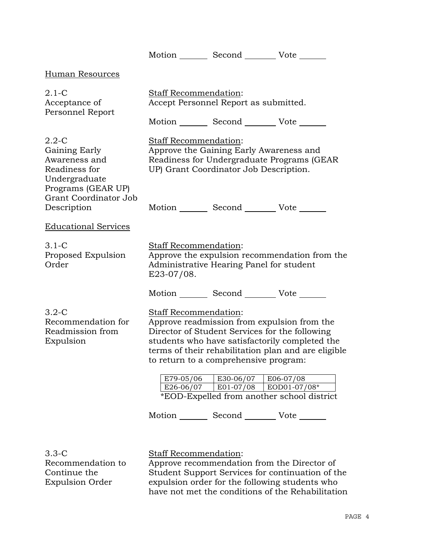|                                                                                                                                                    |                                                 | Motion _________ Second __________ Vote _______                                                                                                                                                                                    |                                                                         |
|----------------------------------------------------------------------------------------------------------------------------------------------------|-------------------------------------------------|------------------------------------------------------------------------------------------------------------------------------------------------------------------------------------------------------------------------------------|-------------------------------------------------------------------------|
| Human Resources                                                                                                                                    |                                                 |                                                                                                                                                                                                                                    |                                                                         |
| $2.1-C$<br>Acceptance of<br>Personnel Report                                                                                                       | <b>Staff Recommendation:</b>                    | Accept Personnel Report as submitted.                                                                                                                                                                                              |                                                                         |
| $2.2 - C$<br>Gaining Early<br>Awareness and<br>Readiness for<br>Undergraduate<br>Programs (GEAR UP)<br><b>Grant Coordinator Job</b><br>Description | <b>Staff Recommendation:</b>                    | Motion _________ Second __________ Vote _______<br>Approve the Gaining Early Awareness and<br>Readiness for Undergraduate Programs (GEAR<br>UP) Grant Coordinator Job Description.<br>Motion Second Vote ______                    |                                                                         |
| <b>Educational Services</b>                                                                                                                        |                                                 |                                                                                                                                                                                                                                    |                                                                         |
| $3.1 - C$<br>Proposed Expulsion<br>Order                                                                                                           | Staff Recommendation:<br>E23-07/08.             | Administrative Hearing Panel for student                                                                                                                                                                                           | Approve the expulsion recommendation from the                           |
|                                                                                                                                                    |                                                 | Motion _________ Second __________ Vote _______                                                                                                                                                                                    |                                                                         |
| $3.2 - C$<br>Recommendation for<br>Readmission from<br>Expulsion                                                                                   | Staff Recommendation:<br>E79-05/06<br>E26-06/07 | Approve readmission from expulsion from the<br>Director of Student Services for the following<br>students who have satisfactorily completed the<br>to return to a comprehensive program:<br>E30-06/07<br>$ E01-07/08 EOD01-07/08*$ | terms of their rehabilitation plan and are eligible<br>$\mid$ E06-07/08 |
|                                                                                                                                                    |                                                 | *EOD-Expelled from another school district                                                                                                                                                                                         |                                                                         |
|                                                                                                                                                    |                                                 | Motion _________ Second __________ Vote _______                                                                                                                                                                                    |                                                                         |
| $3.3 - C$<br>Recommendation to<br>Continue the                                                                                                     | Staff Recommendation:                           | Approve recommendation from the Director of                                                                                                                                                                                        | Student Support Services for continuation of the                        |

Student Support Services for continuation of the expulsion order for the following students who have not met the conditions of the Rehabilitation

Expulsion Order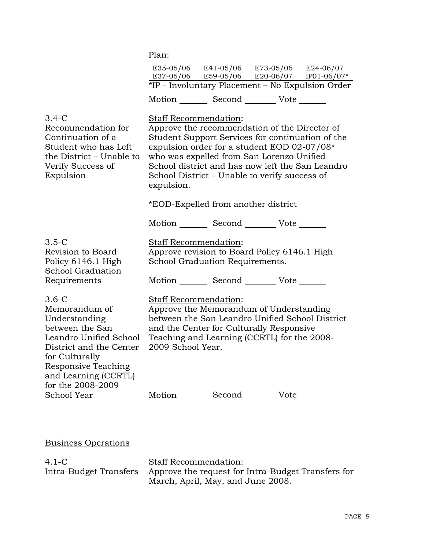|                                                                                                                                                                                                                | Plan:                                      |                                     |                                                                                                                                                                                                                                                                                                    |           |
|----------------------------------------------------------------------------------------------------------------------------------------------------------------------------------------------------------------|--------------------------------------------|-------------------------------------|----------------------------------------------------------------------------------------------------------------------------------------------------------------------------------------------------------------------------------------------------------------------------------------------------|-----------|
|                                                                                                                                                                                                                | E35-05/06                                  | E41-05/06                           | E73-05/06                                                                                                                                                                                                                                                                                          | E24-06/07 |
|                                                                                                                                                                                                                |                                            |                                     | E37-05/06 E59-05/06 E20-06/07 IP01-06/07*                                                                                                                                                                                                                                                          |           |
|                                                                                                                                                                                                                |                                            |                                     | *IP - Involuntary Placement - No Expulsion Order                                                                                                                                                                                                                                                   |           |
|                                                                                                                                                                                                                |                                            |                                     | Motion Second Vote                                                                                                                                                                                                                                                                                 |           |
| $3.4-C$<br>Recommendation for<br>Continuation of a<br>Student who has Left<br>the District - Unable to<br>Verify Success of<br>Expulsion                                                                       | Staff Recommendation:<br>expulsion.        | *EOD-Expelled from another district | Approve the recommendation of the Director of<br>Student Support Services for continuation of the<br>expulsion order for a student EOD 02-07/08*<br>who was expelled from San Lorenzo Unified<br>School district and has now left the San Leandro<br>School District – Unable to verify success of |           |
|                                                                                                                                                                                                                |                                            |                                     | Motion _________ Second __________ Vote _______                                                                                                                                                                                                                                                    |           |
| $3.5-C$<br>Revision to Board<br>Policy 6146.1 High<br>School Graduation                                                                                                                                        | <b>Staff Recommendation:</b>               | School Graduation Requirements.     | Approve revision to Board Policy 6146.1 High                                                                                                                                                                                                                                                       |           |
| Requirements                                                                                                                                                                                                   |                                            |                                     | Motion Second Vote                                                                                                                                                                                                                                                                                 |           |
| $3.6-C$<br>Memorandum of<br>Understanding<br>between the San<br>Leandro Unified School<br>District and the Center<br>for Culturally<br><b>Responsive Teaching</b><br>and Learning (CCRTL)<br>for the 2008-2009 | Staff Recommendation:<br>2009 School Year. |                                     | Approve the Memorandum of Understanding<br>between the San Leandro Unified School District<br>and the Center for Culturally Responsive<br>Teaching and Learning (CCRTL) for the 2008-                                                                                                              |           |
| School Year                                                                                                                                                                                                    |                                            |                                     | Motion Second Vote                                                                                                                                                                                                                                                                                 |           |
|                                                                                                                                                                                                                |                                            |                                     |                                                                                                                                                                                                                                                                                                    |           |

Business Operations

4.1-C Intra-Budget Transfers

Staff Recommendation: Approve the request for Intra-Budget Transfers for March, April, May, and June 2008.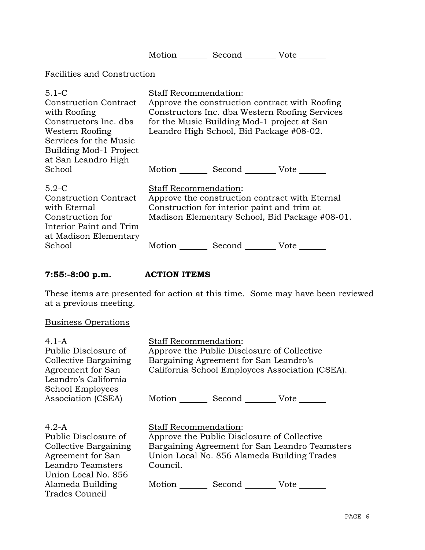|                                                                                                                                                                                            |                              | Motion Second Vote                                                                                                                         |                                                                                                  |
|--------------------------------------------------------------------------------------------------------------------------------------------------------------------------------------------|------------------------------|--------------------------------------------------------------------------------------------------------------------------------------------|--------------------------------------------------------------------------------------------------|
| Facilities and Construction                                                                                                                                                                |                              |                                                                                                                                            |                                                                                                  |
| $5.1 - C$<br><b>Construction Contract</b><br>with Roofing<br>Constructors Inc. dbs<br>Western Roofing<br>Services for the Music<br>Building Mod-1 Project<br>at San Leandro High<br>School | Staff Recommendation:        | for the Music Building Mod-1 project at San<br>Leandro High School, Bid Package #08-02.<br>Motion _________ Second __________ Vote _______ | Approve the construction contract with Roofing<br>Constructors Inc. dba Western Roofing Services |
| $5.2-C$<br><b>Construction Contract</b><br>with Eternal<br>Construction for<br>Interior Paint and Trim<br>at Madison Elementary                                                            | <b>Staff Recommendation:</b> | Construction for interior paint and trim at                                                                                                | Approve the construction contract with Eternal<br>Madison Elementary School, Bid Package #08-01. |
| School                                                                                                                                                                                     | Motion                       | Second                                                                                                                                     | Vote                                                                                             |

## **7:55:-8:00 p.m. ACTION ITEMS**

These items are presented for action at this time. Some may have been reviewed at a previous meeting.

# Business Operations

| 4.1-A                                                                                                                                                           | <b>Staff Recommendation:</b>                                                                                                                                                                                                                                                          |  |  |
|-----------------------------------------------------------------------------------------------------------------------------------------------------------------|---------------------------------------------------------------------------------------------------------------------------------------------------------------------------------------------------------------------------------------------------------------------------------------|--|--|
| Public Disclosure of                                                                                                                                            | Approve the Public Disclosure of Collective                                                                                                                                                                                                                                           |  |  |
| Collective Bargaining                                                                                                                                           | Bargaining Agreement for San Leandro's                                                                                                                                                                                                                                                |  |  |
| Agreement for San                                                                                                                                               | California School Employees Association (CSEA).                                                                                                                                                                                                                                       |  |  |
| Leandro's California                                                                                                                                            |                                                                                                                                                                                                                                                                                       |  |  |
| School Employees                                                                                                                                                |                                                                                                                                                                                                                                                                                       |  |  |
| Association (CSEA)                                                                                                                                              | Second __________ Vote _______<br>Motion                                                                                                                                                                                                                                              |  |  |
| $4.2-A$<br>Public Disclosure of<br>Collective Bargaining<br>Agreement for San<br>Leandro Teamsters<br>Union Local No. 856<br>Alameda Building<br>Trades Council | <b>Staff Recommendation:</b><br>Approve the Public Disclosure of Collective<br>Bargaining Agreement for San Leandro Teamsters<br>Union Local No. 856 Alameda Building Trades<br>Council.<br>Motion $\frac{1}{\sqrt{1-\frac{1}{2}}\cdot\frac{1}{\sqrt{1-\frac{1}{2}}}}$<br>Second Vote |  |  |
|                                                                                                                                                                 |                                                                                                                                                                                                                                                                                       |  |  |
|                                                                                                                                                                 |                                                                                                                                                                                                                                                                                       |  |  |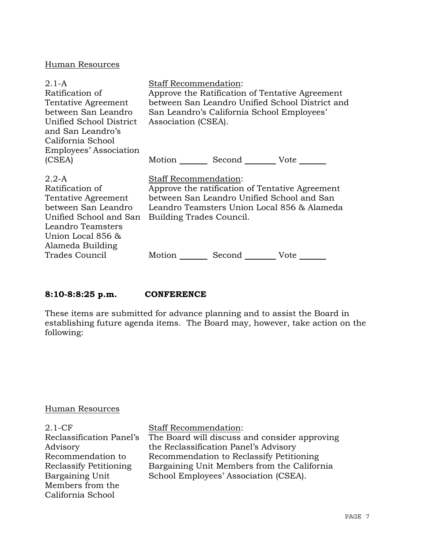#### Human Resources

| $2.1 - A$<br>Ratification of<br>Tentative Agreement<br>between San Leandro<br>Unified School District<br>and San Leandro's<br>California School<br>Employees' Association | Staff Recommendation:<br>Approve the Ratification of Tentative Agreement<br>between San Leandro Unified School District and<br>San Leandro's California School Employees'<br>Association (CSEA).         |
|---------------------------------------------------------------------------------------------------------------------------------------------------------------------------|----------------------------------------------------------------------------------------------------------------------------------------------------------------------------------------------------------|
| (CSEA)                                                                                                                                                                    | Motion Second Vote                                                                                                                                                                                       |
| $2.2-A$<br>Ratification of<br>Tentative Agreement<br>between San Leandro<br>Unified School and San<br>Leandro Teamsters<br>Union Local 856 &<br>Alameda Building          | <b>Staff Recommendation:</b><br>Approve the ratification of Tentative Agreement<br>between San Leandro Unified School and San<br>Leandro Teamsters Union Local 856 & Alameda<br>Building Trades Council. |
| <b>Trades Council</b>                                                                                                                                                     | Second Vote<br>Motion                                                                                                                                                                                    |

### **8:10-8:8:25 p.m. CONFERENCE**

These items are submitted for advance planning and to assist the Board in establishing future agenda items. The Board may, however, take action on the following:

#### Human Resources

| $2.1-CF$                 | <b>Staff Recommendation:</b>                  |
|--------------------------|-----------------------------------------------|
| Reclassification Panel's | The Board will discuss and consider approving |
| Advisory                 | the Reclassification Panel's Advisory         |
| Recommendation to        | Recommendation to Reclassify Petitioning      |
| Reclassify Petitioning   | Bargaining Unit Members from the California   |
| Bargaining Unit          | School Employees' Association (CSEA).         |
| Members from the         |                                               |
| California School        |                                               |